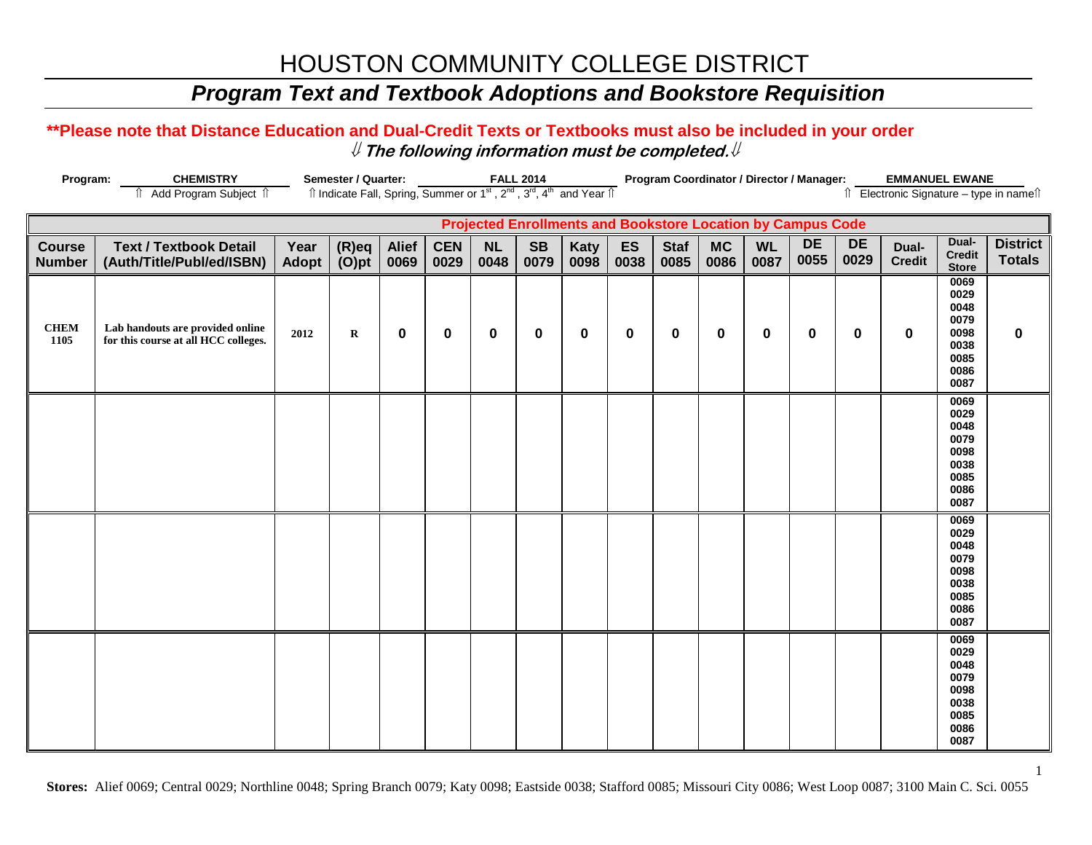## *Program Text and Textbook Adoptions and Bookstore Requisition*

### **\*\*Please note that Distance Education and Dual-Credit Texts or Textbooks must also be included in your order** ⇓ **The following information must be completed.**⇓

| Program:                       | <b>CHEMISTRY</b>                                                         | Semester / Quarter:<br><b>FALL 2014</b> |                                                                                                                       |                      |                    |                   |                   |              |            | Program Coordinator / Director / Manager:<br><b>EMMANUEL EWANE</b> |                   |                   |                                                                    |                   |                        |                                                                      |                                       |
|--------------------------------|--------------------------------------------------------------------------|-----------------------------------------|-----------------------------------------------------------------------------------------------------------------------|----------------------|--------------------|-------------------|-------------------|--------------|------------|--------------------------------------------------------------------|-------------------|-------------------|--------------------------------------------------------------------|-------------------|------------------------|----------------------------------------------------------------------|---------------------------------------|
|                                | Add Program Subject 1<br>⇑                                               |                                         | Îl Indicate Fall, Spring, Summer or 1 <sup>st</sup> , 2 <sup>nd</sup> , 3 <sup>rd</sup> , 4 <sup>th</sup> and Year Îl |                      |                    |                   |                   |              |            |                                                                    |                   |                   |                                                                    |                   |                        |                                                                      | ↑ Electronic Signature - type in name |
|                                |                                                                          |                                         |                                                                                                                       |                      |                    |                   |                   |              |            |                                                                    |                   |                   | <b>Projected Enrollments and Bookstore Location by Campus Code</b> |                   |                        |                                                                      |                                       |
| <b>Course</b><br><b>Number</b> | <b>Text / Textbook Detail</b><br>(Auth/Title/Publ/ed/ISBN)               | Year<br>Adopt                           | $(R)$ eq<br>$(O)$ pt                                                                                                  | <b>Alief</b><br>0069 | <b>CEN</b><br>0029 | <b>NL</b><br>0048 | <b>SB</b><br>0079 | Katy<br>0098 | ES<br>0038 | <b>Staf</b><br>0085                                                | <b>MC</b><br>0086 | <b>WL</b><br>0087 | <b>DE</b><br>0055                                                  | <b>DE</b><br>0029 | Dual-<br><b>Credit</b> | Dual-<br><b>Credit</b><br><b>Store</b>                               | <b>District</b><br><b>Totals</b>      |
| <b>CHEM</b><br>1105            | Lab handouts are provided online<br>for this course at all HCC colleges. | 2012                                    | $\bf R$                                                                                                               | $\mathbf 0$          | $\bf{0}$           | 0                 | 0                 | $\bf{0}$     | 0          | $\bf{0}$                                                           | $\mathbf 0$       | $\mathbf 0$       | 0                                                                  | $\mathbf 0$       | $\mathbf 0$            | 0069<br>0029<br>0048<br>0079<br>0098<br>0038<br>0085<br>0086<br>0087 | $\pmb{0}$                             |
|                                |                                                                          |                                         |                                                                                                                       |                      |                    |                   |                   |              |            |                                                                    |                   |                   |                                                                    |                   |                        | 0069<br>0029<br>0048<br>0079<br>0098<br>0038<br>0085<br>0086<br>0087 |                                       |
|                                |                                                                          |                                         |                                                                                                                       |                      |                    |                   |                   |              |            |                                                                    |                   |                   |                                                                    |                   |                        | 0069<br>0029<br>0048<br>0079<br>0098<br>0038<br>0085<br>0086<br>0087 |                                       |
|                                |                                                                          |                                         |                                                                                                                       |                      |                    |                   |                   |              |            |                                                                    |                   |                   |                                                                    |                   |                        | 0069<br>0029<br>0048<br>0079<br>0098<br>0038<br>0085<br>0086<br>0087 |                                       |

**Stores:** Alief 0069; Central 0029; Northline 0048; Spring Branch 0079; Katy 0098; Eastside 0038; Stafford 0085; Missouri City 0086; West Loop 0087; 3100 Main C. Sci. 0055

1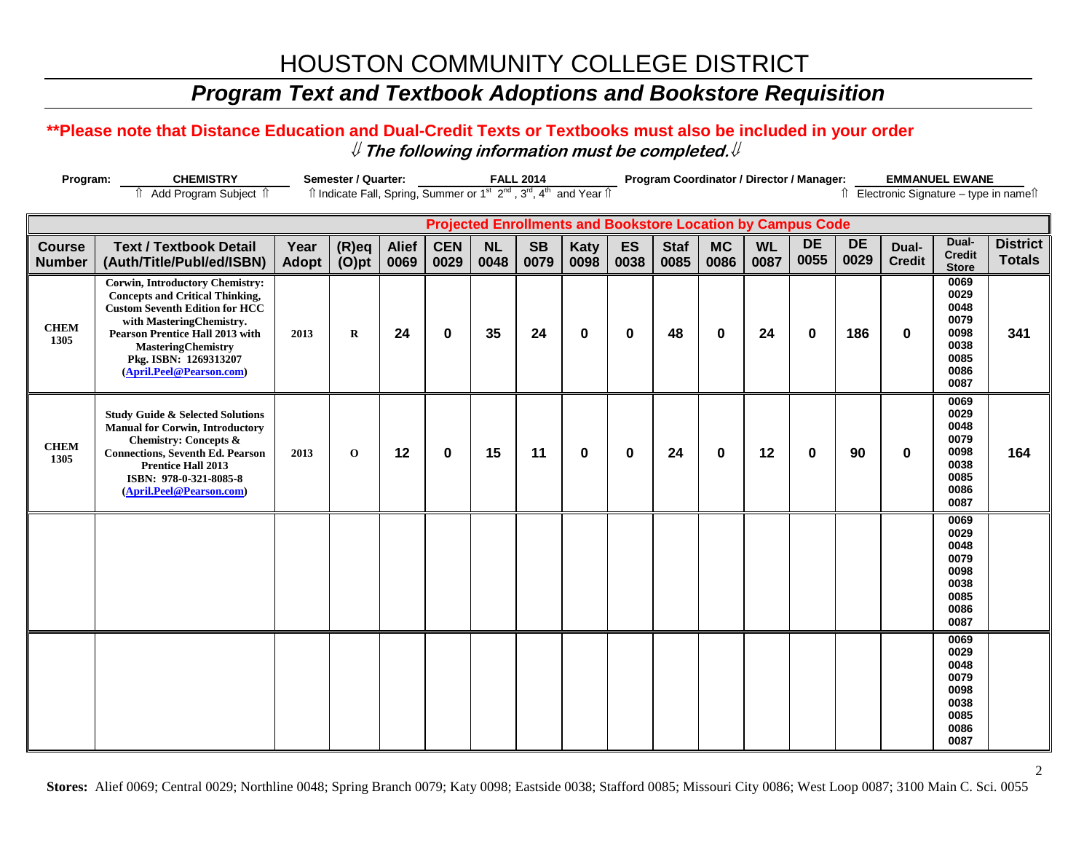## *Program Text and Textbook Adoptions and Bookstore Requisition*

### **\*\*Please note that Distance Education and Dual-Credit Texts or Textbooks must also be included in your order** ⇓ **The following information must be completed.**⇓

| Program:                       | <b>CHEMISTRY</b>                                                                                                                                                                                                                                                                  |                      | Semester / Quarter:                                                                                                 |                      |                    |                   | <b>FALL 2014</b>  |                     |            |                     |                   |                   | Program Coordinator / Director / Manager:                          |                   |                        | <b>EMMANUEL EWANE</b>                                                |                                       |
|--------------------------------|-----------------------------------------------------------------------------------------------------------------------------------------------------------------------------------------------------------------------------------------------------------------------------------|----------------------|---------------------------------------------------------------------------------------------------------------------|----------------------|--------------------|-------------------|-------------------|---------------------|------------|---------------------|-------------------|-------------------|--------------------------------------------------------------------|-------------------|------------------------|----------------------------------------------------------------------|---------------------------------------|
|                                | fî Add Program Subject fî                                                                                                                                                                                                                                                         |                      | Îl Indicate Fall, Spring, Summer or 1 <sup>st</sup> 2 <sup>nd</sup> , 3 <sup>rd</sup> , 4 <sup>th</sup> and Year Îl |                      |                    |                   |                   |                     |            |                     |                   |                   |                                                                    |                   |                        |                                                                      | ↑ Electronic Signature - type in name |
|                                |                                                                                                                                                                                                                                                                                   |                      |                                                                                                                     |                      |                    |                   |                   |                     |            |                     |                   |                   | <b>Projected Enrollments and Bookstore Location by Campus Code</b> |                   |                        |                                                                      |                                       |
| <b>Course</b><br><b>Number</b> | <b>Text / Textbook Detail</b><br>(Auth/Title/Publ/ed/ISBN)                                                                                                                                                                                                                        | Year<br><b>Adopt</b> | $(R)$ eq<br>$(O)$ pt                                                                                                | <b>Alief</b><br>0069 | <b>CEN</b><br>0029 | <b>NL</b><br>0048 | <b>SB</b><br>0079 | <b>Katy</b><br>0098 | ES<br>0038 | <b>Staf</b><br>0085 | <b>MC</b><br>0086 | <b>WL</b><br>0087 | <b>DE</b><br>0055                                                  | <b>DE</b><br>0029 | Dual-<br><b>Credit</b> | Dual-<br><b>Credit</b><br><b>Store</b>                               | <b>District</b><br><b>Totals</b>      |
| <b>CHEM</b><br>1305            | <b>Corwin, Introductory Chemistry:</b><br><b>Concepts and Critical Thinking,</b><br><b>Custom Seventh Edition for HCC</b><br>with MasteringChemistry.<br><b>Pearson Prentice Hall 2013 with</b><br><b>MasteringChemistry</b><br>Pkg. ISBN: 1269313207<br>(April.Peel@Pearson.com) | 2013                 | $\bf{R}$                                                                                                            | 24                   | $\mathbf 0$        | 35                | 24                | $\mathbf 0$         | $\bf{0}$   | 48                  | $\mathbf 0$       | 24                | $\bf{0}$                                                           | 186               | $\bf{0}$               | 0069<br>0029<br>0048<br>0079<br>0098<br>0038<br>0085<br>0086<br>0087 | 341                                   |
| <b>CHEM</b><br>1305            | <b>Study Guide &amp; Selected Solutions</b><br><b>Manual for Corwin, Introductory</b><br><b>Chemistry: Concepts &amp;</b><br><b>Connections, Seventh Ed. Pearson</b><br><b>Prentice Hall 2013</b><br>ISBN: 978-0-321-8085-8<br>(April.Peel@Pearson.com)                           | 2013                 | $\mathbf 0$                                                                                                         | 12                   | $\mathbf 0$        | 15                | 11                | $\mathbf 0$         | $\bf{0}$   | 24                  | $\mathbf 0$       | 12                | $\bf{0}$                                                           | 90                | $\mathbf 0$            | 0069<br>0029<br>0048<br>0079<br>0098<br>0038<br>0085<br>0086<br>0087 | 164                                   |
|                                |                                                                                                                                                                                                                                                                                   |                      |                                                                                                                     |                      |                    |                   |                   |                     |            |                     |                   |                   |                                                                    |                   |                        | 0069<br>0029<br>0048<br>0079<br>0098<br>0038<br>0085<br>0086<br>0087 |                                       |
|                                |                                                                                                                                                                                                                                                                                   |                      |                                                                                                                     |                      |                    |                   |                   |                     |            |                     |                   |                   |                                                                    |                   |                        | 0069<br>0029<br>0048<br>0079<br>0098<br>0038<br>0085<br>0086<br>0087 |                                       |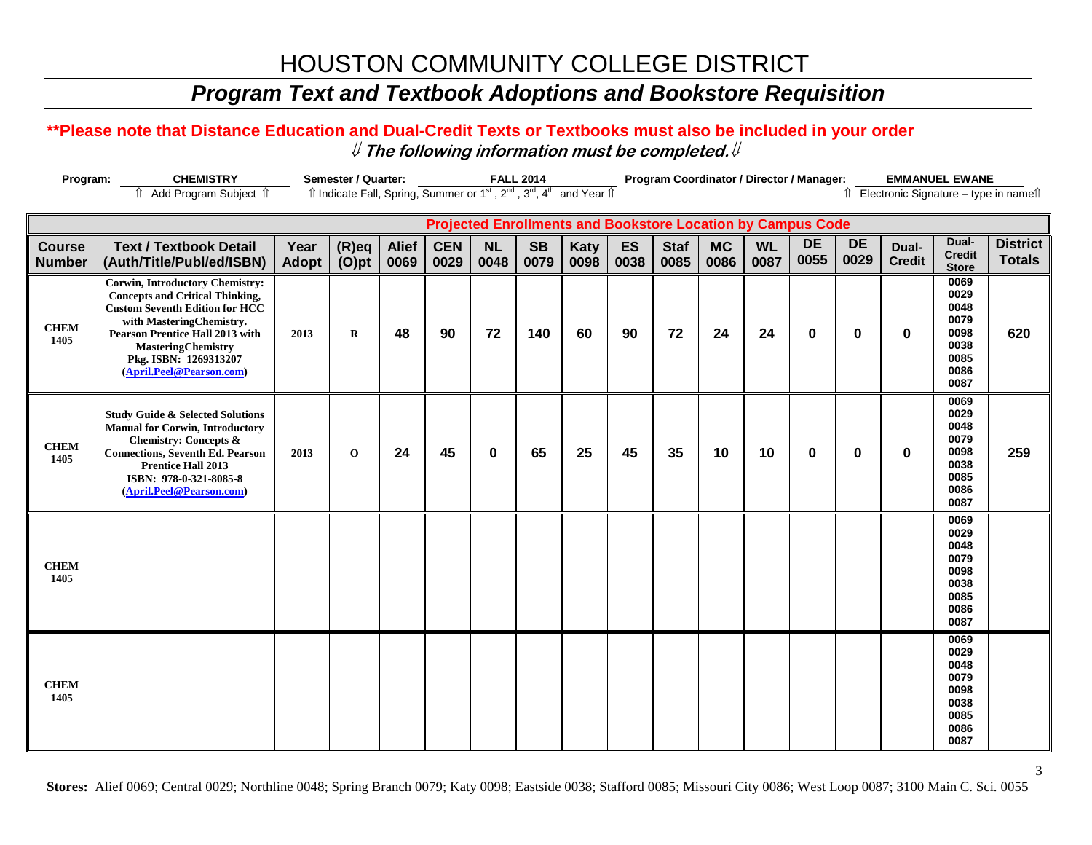## *Program Text and Textbook Adoptions and Bookstore Requisition*

### **\*\*Please note that Distance Education and Dual-Credit Texts or Textbooks must also be included in your order** ⇓ **The following information must be completed.**⇓

| Program:                       | <b>CHEMISTRY</b>                                                                                                                                                                                                                                                                  |                      | Semester / Quarter:                                                                                                   |                      |                    |                   | <b>FALL 2014</b>  |                     |            |                     | Program Coordinator / Director / Manager:                          |                   |                   |                   |                        | <b>EMMANUEL EWANE</b>                                                |                                        |
|--------------------------------|-----------------------------------------------------------------------------------------------------------------------------------------------------------------------------------------------------------------------------------------------------------------------------------|----------------------|-----------------------------------------------------------------------------------------------------------------------|----------------------|--------------------|-------------------|-------------------|---------------------|------------|---------------------|--------------------------------------------------------------------|-------------------|-------------------|-------------------|------------------------|----------------------------------------------------------------------|----------------------------------------|
|                                | Add Program Subject 1                                                                                                                                                                                                                                                             |                      | Îl Indicate Fall, Spring, Summer or 1 <sup>st</sup> , 2 <sup>nd</sup> , 3 <sup>rd</sup> , 4 <sup>th</sup> and Year Îl |                      |                    |                   |                   |                     |            |                     |                                                                    |                   |                   |                   |                        |                                                                      | Î Electronic Signature - type in nameî |
|                                |                                                                                                                                                                                                                                                                                   |                      |                                                                                                                       |                      |                    |                   |                   |                     |            |                     | <b>Projected Enrollments and Bookstore Location by Campus Code</b> |                   |                   |                   |                        |                                                                      |                                        |
| <b>Course</b><br><b>Number</b> | <b>Text / Textbook Detail</b><br>(Auth/Title/Publ/ed/ISBN)                                                                                                                                                                                                                        | Year<br><b>Adopt</b> | $(R)$ eq<br>$(O)$ pt                                                                                                  | <b>Alief</b><br>0069 | <b>CEN</b><br>0029 | <b>NL</b><br>0048 | <b>SB</b><br>0079 | <b>Katy</b><br>0098 | ES<br>0038 | <b>Staf</b><br>0085 | <b>MC</b><br>0086                                                  | <b>WL</b><br>0087 | <b>DE</b><br>0055 | <b>DE</b><br>0029 | Dual-<br><b>Credit</b> | Dual-<br><b>Credit</b><br><b>Store</b>                               | <b>District</b><br><b>Totals</b>       |
| <b>CHEM</b><br>1405            | <b>Corwin, Introductory Chemistry:</b><br><b>Concepts and Critical Thinking,</b><br><b>Custom Seventh Edition for HCC</b><br>with MasteringChemistry.<br><b>Pearson Prentice Hall 2013 with</b><br><b>MasteringChemistry</b><br>Pkg. ISBN: 1269313207<br>(April.Peel@Pearson.com) | 2013                 | $\bf R$                                                                                                               | 48                   | 90                 | 72                | 140               | 60                  | 90         | 72                  | 24                                                                 | 24                | $\bf{0}$          | $\mathbf 0$       | 0                      | 0069<br>0029<br>0048<br>0079<br>0098<br>0038<br>0085<br>0086<br>0087 | 620                                    |
| <b>CHEM</b><br>1405            | <b>Study Guide &amp; Selected Solutions</b><br><b>Manual for Corwin, Introductory</b><br><b>Chemistry: Concepts &amp;</b><br><b>Connections, Seventh Ed. Pearson</b><br><b>Prentice Hall 2013</b><br>ISBN: 978-0-321-8085-8<br>(April.Peel@Pearson.com)                           | 2013                 | $\mathbf{o}$                                                                                                          | 24                   | 45                 | $\bf{0}$          | 65                | 25                  | 45         | 35                  | 10                                                                 | 10                | $\bf{0}$          | $\bf{0}$          | $\bf{0}$               | 0069<br>0029<br>0048<br>0079<br>0098<br>0038<br>0085<br>0086<br>0087 | 259                                    |
| <b>CHEM</b><br>1405            |                                                                                                                                                                                                                                                                                   |                      |                                                                                                                       |                      |                    |                   |                   |                     |            |                     |                                                                    |                   |                   |                   |                        | 0069<br>0029<br>0048<br>0079<br>0098<br>0038<br>0085<br>0086<br>0087 |                                        |
| <b>CHEM</b><br>1405            |                                                                                                                                                                                                                                                                                   |                      |                                                                                                                       |                      |                    |                   |                   |                     |            |                     |                                                                    |                   |                   |                   |                        | 0069<br>0029<br>0048<br>0079<br>0098<br>0038<br>0085<br>0086<br>0087 |                                        |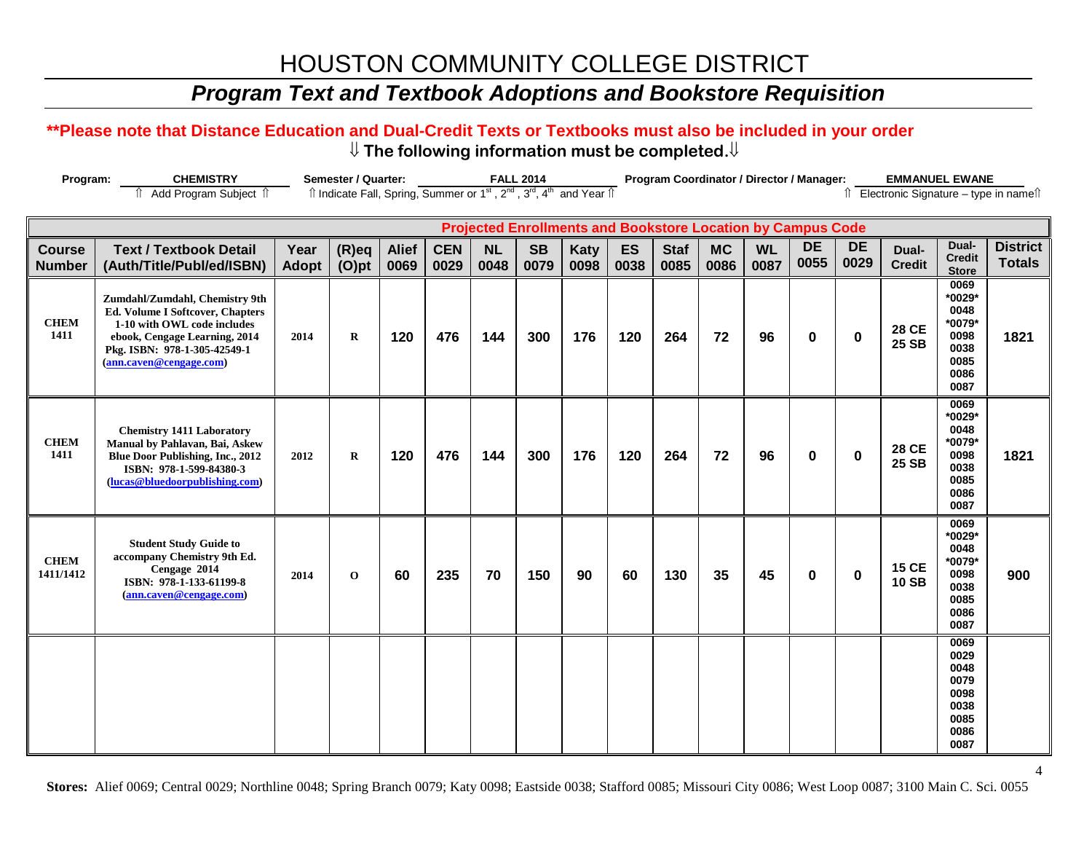## *Program Text and Textbook Adoptions and Bookstore Requisition*

#### **\*\*Please note that Distance Education and Dual-Credit Texts or Textbooks must also be included in your order** ⇓ **The following information must be completed.**⇓

| Program:                       | <b>CHEMISTRY</b>                                                                                                                                                                                     |                      | <b>Semester / Quarter:</b>                                                                                            |                      |                    |                   | <b>FALL 2014</b>  |              |                   |                     | Program Coordinator / Director / Manager:                          |                   |                   |                   | <b>EMMANUEL EWANE</b>                  |                                                                          |                                  |
|--------------------------------|------------------------------------------------------------------------------------------------------------------------------------------------------------------------------------------------------|----------------------|-----------------------------------------------------------------------------------------------------------------------|----------------------|--------------------|-------------------|-------------------|--------------|-------------------|---------------------|--------------------------------------------------------------------|-------------------|-------------------|-------------------|----------------------------------------|--------------------------------------------------------------------------|----------------------------------|
|                                | Add Program Subject 1                                                                                                                                                                                |                      | Îl Indicate Fall, Spring, Summer or 1 <sup>st</sup> , 2 <sup>nd</sup> , 3 <sup>rd</sup> , 4 <sup>th</sup> and Year Îl |                      |                    |                   |                   |              |                   |                     |                                                                    |                   |                   |                   | î Electronic Signature - type in nameî |                                                                          |                                  |
|                                |                                                                                                                                                                                                      |                      |                                                                                                                       |                      |                    |                   |                   |              |                   |                     | <b>Projected Enrollments and Bookstore Location by Campus Code</b> |                   |                   |                   |                                        |                                                                          |                                  |
| <b>Course</b><br><b>Number</b> | <b>Text / Textbook Detail</b><br>(Auth/Title/Publ/ed/ISBN)                                                                                                                                           | Year<br><b>Adopt</b> | $(R)$ eq<br>$(O)$ pt                                                                                                  | <b>Alief</b><br>0069 | <b>CEN</b><br>0029 | <b>NL</b><br>0048 | <b>SB</b><br>0079 | Katy<br>0098 | <b>ES</b><br>0038 | <b>Staf</b><br>0085 | <b>MC</b><br>0086                                                  | <b>WL</b><br>0087 | <b>DE</b><br>0055 | <b>DE</b><br>0029 | Dual-<br><b>Credit</b>                 | Dual-<br><b>Credit</b><br><b>Store</b>                                   | <b>District</b><br><b>Totals</b> |
| <b>CHEM</b><br>1411            | Zumdahl/Zumdahl, Chemistry 9th<br><b>Ed. Volume I Softcover, Chapters</b><br>1-10 with OWL code includes<br>ebook, Cengage Learning, 2014<br>Pkg. ISBN: 978-1-305-42549-1<br>(ann.caven@cengage.com) | 2014                 | $\bf{R}$                                                                                                              | 120                  | 476                | 144               | 300               | 176          | 120               | 264                 | 72                                                                 | 96                | $\mathbf 0$       | $\pmb{0}$         | <b>28 CE</b><br><b>25 SB</b>           | 0069<br>*0029*<br>0048<br>*0079*<br>0098<br>0038<br>0085<br>0086<br>0087 | 1821                             |
| <b>CHEM</b><br>1411            | <b>Chemistry 1411 Laboratory</b><br>Manual by Pahlavan, Bai, Askew<br>Blue Door Publishing, Inc., 2012<br>ISBN: 978-1-599-84380-3<br>(lucas@bluedoorpublishing.com)                                  | 2012                 | $\bf{R}$                                                                                                              | 120                  | 476                | 144               | 300               | 176          | 120               | 264                 | 72                                                                 | 96                | $\bf{0}$          | 0                 | <b>28 CE</b><br>25 SB                  | 0069<br>*0029*<br>0048<br>*0079*<br>0098<br>0038<br>0085<br>0086<br>0087 | 1821                             |
| <b>CHEM</b><br>1411/1412       | <b>Student Study Guide to</b><br>accompany Chemistry 9th Ed.<br>Cengage 2014<br>ISBN: 978-1-133-61199-8<br>(ann.caven@cengage.com)                                                                   | 2014                 | $\mathbf{o}$                                                                                                          | 60                   | 235                | 70                | 150               | 90           | 60                | 130                 | 35                                                                 | 45                | $\bf{0}$          | $\bf{0}$          | <b>15 CE</b><br><b>10 SB</b>           | 0069<br>*0029*<br>0048<br>*0079*<br>0098<br>0038<br>0085<br>0086<br>0087 | 900                              |
|                                |                                                                                                                                                                                                      |                      |                                                                                                                       |                      |                    |                   |                   |              |                   |                     |                                                                    |                   |                   |                   |                                        | 0069<br>0029<br>0048<br>0079<br>0098<br>0038<br>0085<br>0086<br>0087     |                                  |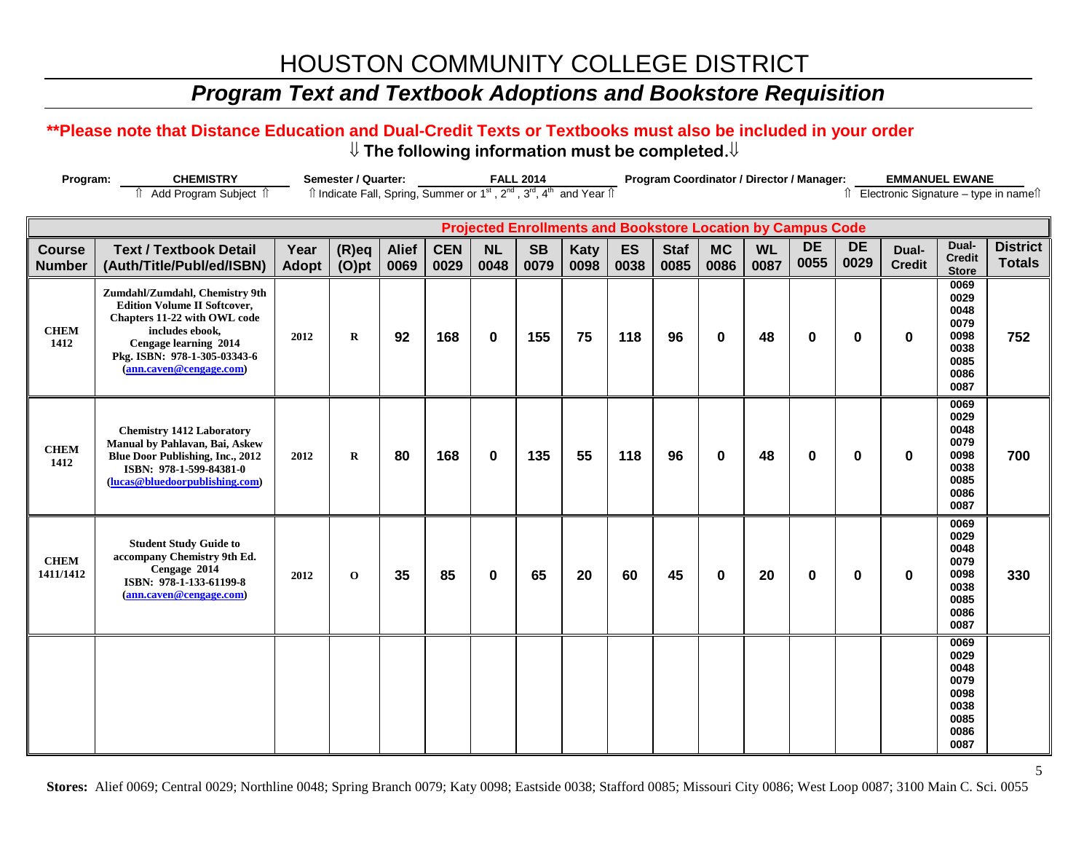## *Program Text and Textbook Adoptions and Bookstore Requisition*

#### **\*\*Please note that Distance Education and Dual-Credit Texts or Textbooks must also be included in your order** ⇓ **The following information must be completed.**⇓

| Program:                       | <b>CHEMISTRY</b>                                                                                                                                                                                             |               | Semester / Quarter:                                                                                                   |                      |                    |                   | <b>FALL 2014</b>  |                                                                    |                   |                     | Program Coordinator / Director / Manager: |                   |                   |                   | <b>EMMANUEL EWANE</b>                    |                                                                      |                                  |
|--------------------------------|--------------------------------------------------------------------------------------------------------------------------------------------------------------------------------------------------------------|---------------|-----------------------------------------------------------------------------------------------------------------------|----------------------|--------------------|-------------------|-------------------|--------------------------------------------------------------------|-------------------|---------------------|-------------------------------------------|-------------------|-------------------|-------------------|------------------------------------------|----------------------------------------------------------------------|----------------------------------|
|                                | fî Add Program Subject fî                                                                                                                                                                                    |               | Îl Indicate Fall, Spring, Summer or 1 <sup>st</sup> , 2 <sup>nd</sup> , 3 <sup>rd</sup> , 4 <sup>th</sup> and Year Îl |                      |                    |                   |                   |                                                                    |                   |                     |                                           |                   |                   |                   | îl Electronic Signature - type in nameîl |                                                                      |                                  |
|                                |                                                                                                                                                                                                              |               |                                                                                                                       |                      |                    |                   |                   | <b>Projected Enrollments and Bookstore Location by Campus Code</b> |                   |                     |                                           |                   |                   |                   |                                          |                                                                      |                                  |
| <b>Course</b><br><b>Number</b> | <b>Text / Textbook Detail</b><br>(Auth/Title/Publ/ed/ISBN)                                                                                                                                                   | Year<br>Adopt | $(R)$ eq<br>$(O)$ pt                                                                                                  | <b>Alief</b><br>0069 | <b>CEN</b><br>0029 | <b>NL</b><br>0048 | <b>SB</b><br>0079 | <b>Katy</b><br>0098                                                | <b>ES</b><br>0038 | <b>Staf</b><br>0085 | <b>MC</b><br>0086                         | <b>WL</b><br>0087 | <b>DE</b><br>0055 | <b>DE</b><br>0029 | Dual-<br><b>Credit</b>                   | Dual-<br><b>Credit</b><br><b>Store</b>                               | <b>District</b><br><b>Totals</b> |
| <b>CHEM</b><br>1412            | Zumdahl/Zumdahl, Chemistry 9th<br><b>Edition Volume II Softcover,</b><br>Chapters 11-22 with OWL code<br>includes ebook,<br>Cengage learning 2014<br>Pkg. ISBN: 978-1-305-03343-6<br>(ann.caven@cengage.com) | 2012          | $\bf R$                                                                                                               | 92                   | 168                | $\mathbf 0$       | 155               | 75                                                                 | 118               | 96                  | $\bf{0}$                                  | 48                | $\bf{0}$          | 0                 | $\mathbf 0$                              | 0069<br>0029<br>0048<br>0079<br>0098<br>0038<br>0085<br>0086<br>0087 | 752                              |
| <b>CHEM</b><br>1412            | <b>Chemistry 1412 Laboratory</b><br>Manual by Pahlavan, Bai, Askew<br><b>Blue Door Publishing, Inc., 2012</b><br>ISBN: 978-1-599-84381-0<br>(lucas@bluedoorpublishing.com)                                   | 2012          | $\bf{R}$                                                                                                              | 80                   | 168                | $\mathbf 0$       | 135               | 55                                                                 | 118               | 96                  | $\bf{0}$                                  | 48                | $\bf{0}$          | $\bf{0}$          | $\bf{0}$                                 | 0069<br>0029<br>0048<br>0079<br>0098<br>0038<br>0085<br>0086<br>0087 | 700                              |
| <b>CHEM</b><br>1411/1412       | <b>Student Study Guide to</b><br>accompany Chemistry 9th Ed.<br>Cengage 2014<br>ISBN: 978-1-133-61199-8<br>(ann.caven@cengage.com)                                                                           | 2012          | $\mathbf{o}$                                                                                                          | 35                   | 85                 | $\bf{0}$          | 65                | 20                                                                 | 60                | 45                  | $\bf{0}$                                  | 20                | $\bf{0}$          | $\bf{0}$          | $\bf{0}$                                 | 0069<br>0029<br>0048<br>0079<br>0098<br>0038<br>0085<br>0086<br>0087 | 330                              |
|                                |                                                                                                                                                                                                              |               |                                                                                                                       |                      |                    |                   |                   |                                                                    |                   |                     |                                           |                   |                   |                   |                                          | 0069<br>0029<br>0048<br>0079<br>0098<br>0038<br>0085<br>0086<br>0087 |                                  |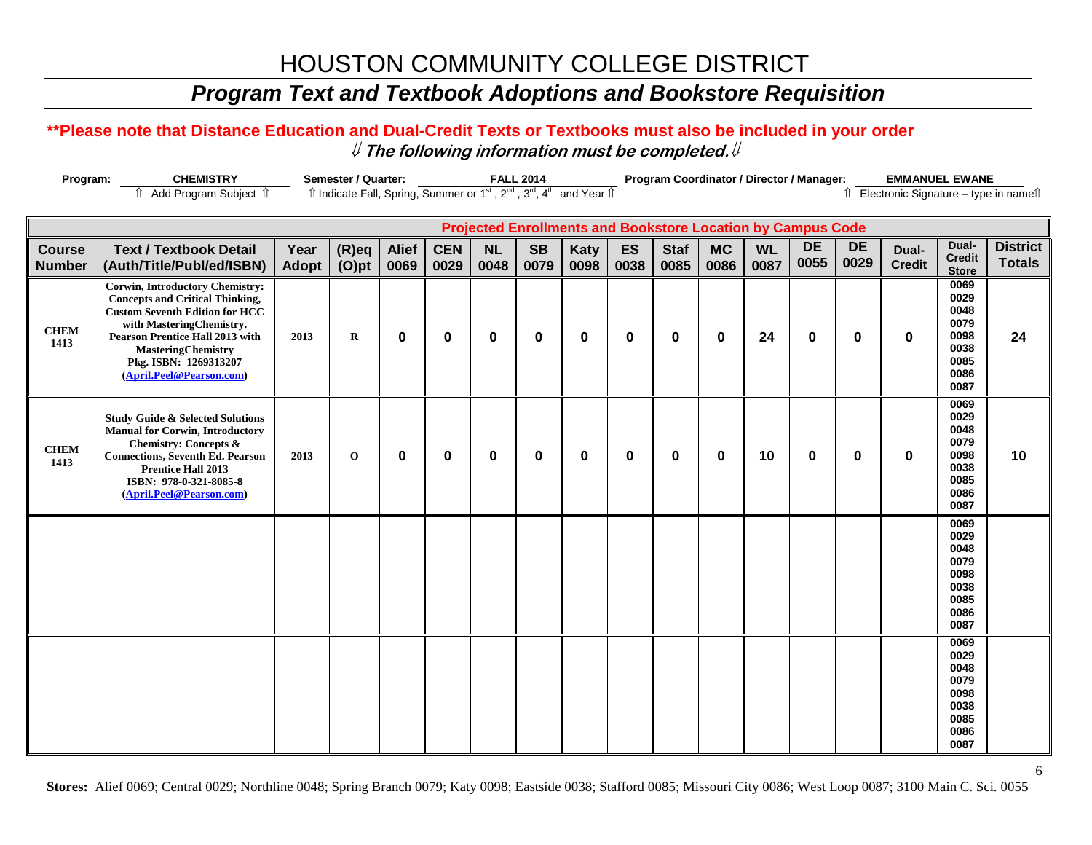## *Program Text and Textbook Adoptions and Bookstore Requisition*

### **\*\*Please note that Distance Education and Dual-Credit Texts or Textbooks must also be included in your order** ⇓ **The following information must be completed.**⇓

| <b>CHEMISTRY</b><br>Program:                                                                                                                   |                                                                                                                                                                                                                                                                                   | <b>Semester / Quarter:</b><br><b>FALL 2014</b> |                      |                      |                    |            |                   | Program Coordinator / Director / Manager:<br><b>EMMANUEL EWANE</b> |            |                     |                                                                    |                   |                   |                   |                        |                                                                      |                                          |
|------------------------------------------------------------------------------------------------------------------------------------------------|-----------------------------------------------------------------------------------------------------------------------------------------------------------------------------------------------------------------------------------------------------------------------------------|------------------------------------------------|----------------------|----------------------|--------------------|------------|-------------------|--------------------------------------------------------------------|------------|---------------------|--------------------------------------------------------------------|-------------------|-------------------|-------------------|------------------------|----------------------------------------------------------------------|------------------------------------------|
| Îl Indicate Fall, Spring, Summer or 1 <sup>st</sup> , 2 <sup>nd</sup> , 3 <sup>rd</sup> , 4 <sup>th</sup> and Year Îl<br>Add Program Subject 1 |                                                                                                                                                                                                                                                                                   |                                                |                      |                      |                    |            |                   |                                                                    |            |                     |                                                                    |                   |                   |                   |                        |                                                                      | îl Electronic Signature - type in nameîl |
|                                                                                                                                                |                                                                                                                                                                                                                                                                                   |                                                |                      |                      |                    |            |                   |                                                                    |            |                     | <b>Projected Enrollments and Bookstore Location by Campus Code</b> |                   |                   |                   |                        |                                                                      |                                          |
| <b>Course</b><br><b>Number</b>                                                                                                                 | <b>Text / Textbook Detail</b><br>(Auth/Title/Publ/ed/ISBN)                                                                                                                                                                                                                        | Year<br>Adopt                                  | $(R)$ eq<br>$(O)$ pt | <b>Alief</b><br>0069 | <b>CEN</b><br>0029 | NL<br>0048 | <b>SB</b><br>0079 | <b>Katy</b><br>0098                                                | ES<br>0038 | <b>Staf</b><br>0085 | <b>MC</b><br>0086                                                  | <b>WL</b><br>0087 | <b>DE</b><br>0055 | <b>DE</b><br>0029 | Dual-<br><b>Credit</b> | Dual-<br><b>Credit</b><br><b>Store</b>                               | <b>District</b><br><b>Totals</b>         |
| <b>CHEM</b><br>1413                                                                                                                            | <b>Corwin, Introductory Chemistry:</b><br><b>Concepts and Critical Thinking,</b><br><b>Custom Seventh Edition for HCC</b><br>with MasteringChemistry.<br><b>Pearson Prentice Hall 2013 with</b><br><b>MasteringChemistry</b><br>Pkg. ISBN: 1269313207<br>(April.Peel@Pearson.com) | 2013                                           | $\bf R$              | 0                    | $\mathbf 0$        | 0          | 0                 | $\bf{0}$                                                           | 0          | $\bf{0}$            | $\mathbf 0$                                                        | 24                | $\bf{0}$          | $\mathbf 0$       | 0                      | 0069<br>0029<br>0048<br>0079<br>0098<br>0038<br>0085<br>0086<br>0087 | 24                                       |
| <b>CHEM</b><br>1413                                                                                                                            | <b>Study Guide &amp; Selected Solutions</b><br><b>Manual for Corwin, Introductory</b><br><b>Chemistry: Concepts &amp;</b><br><b>Connections, Seventh Ed. Pearson</b><br><b>Prentice Hall 2013</b><br>ISBN: 978-0-321-8085-8<br>(April.Peel@Pearson.com)                           | 2013                                           | $\mathbf 0$          | 0                    | $\mathbf 0$        | 0          | 0                 | $\mathbf 0$                                                        | 0          | 0                   | $\mathbf 0$                                                        | 10                | $\bf{0}$          | $\mathbf 0$       | $\bf{0}$               | 0069<br>0029<br>0048<br>0079<br>0098<br>0038<br>0085<br>0086<br>0087 | 10                                       |
|                                                                                                                                                |                                                                                                                                                                                                                                                                                   |                                                |                      |                      |                    |            |                   |                                                                    |            |                     |                                                                    |                   |                   |                   |                        | 0069<br>0029<br>0048<br>0079<br>0098<br>0038<br>0085<br>0086<br>0087 |                                          |
|                                                                                                                                                |                                                                                                                                                                                                                                                                                   |                                                |                      |                      |                    |            |                   |                                                                    |            |                     |                                                                    |                   |                   |                   |                        | 0069<br>0029<br>0048<br>0079<br>0098<br>0038<br>0085<br>0086<br>0087 |                                          |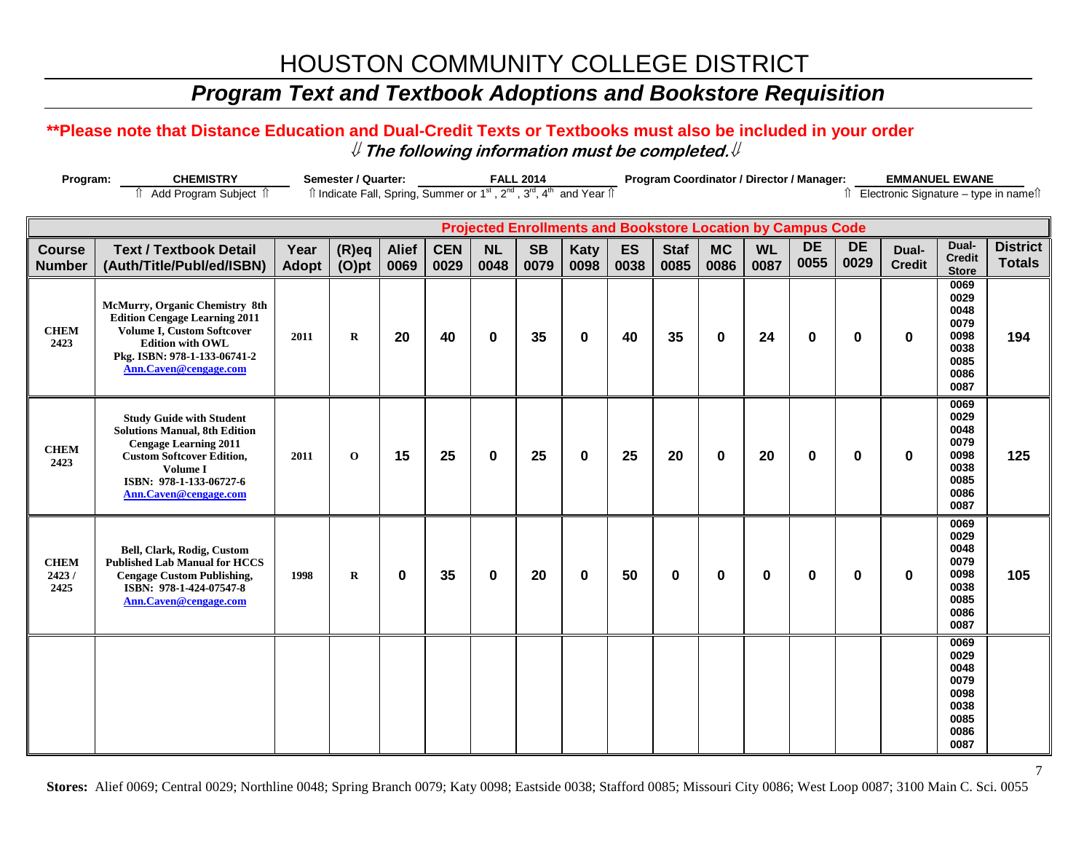## *Program Text and Textbook Adoptions and Bookstore Requisition*

### **\*\*Please note that Distance Education and Dual-Credit Texts or Textbooks must also be included in your order** ⇓ **The following information must be completed.**⇓

| <b>CHEMISTRY</b><br>Program: |                                                                                                                                                                                                             |       | Semester / Quarter:<br><b>FALL 2014</b>                                                                                                                         |              |            |           |                                                                    |             |      | <b>EMMANUEL EWANE</b><br>Program Coordinator / Director / Manager: |             |           |             |             |               |                                                                      |                 |
|------------------------------|-------------------------------------------------------------------------------------------------------------------------------------------------------------------------------------------------------------|-------|-----------------------------------------------------------------------------------------------------------------------------------------------------------------|--------------|------------|-----------|--------------------------------------------------------------------|-------------|------|--------------------------------------------------------------------|-------------|-----------|-------------|-------------|---------------|----------------------------------------------------------------------|-----------------|
|                              | ⇑<br>Add Program Subject 1                                                                                                                                                                                  |       | Îl Indicate Fall, Spring, Summer or 1 <sup>st</sup> , 2 <sup>nd</sup> , 3 <sup>rd</sup> , 4 <sup>th</sup> and Year Îl<br>Î Electronic Signature - type in nameî |              |            |           |                                                                    |             |      |                                                                    |             |           |             |             |               |                                                                      |                 |
|                              |                                                                                                                                                                                                             |       |                                                                                                                                                                 |              |            |           |                                                                    |             |      |                                                                    |             |           |             |             |               |                                                                      |                 |
|                              |                                                                                                                                                                                                             |       |                                                                                                                                                                 |              |            |           | <b>Projected Enrollments and Bookstore Location by Campus Code</b> |             |      |                                                                    |             |           |             |             |               |                                                                      |                 |
| <b>Course</b>                | <b>Text / Textbook Detail</b>                                                                                                                                                                               | Year  | $(R)$ eq                                                                                                                                                        | <b>Alief</b> | <b>CEN</b> | <b>NL</b> | <b>SB</b>                                                          | <b>Katy</b> | ES   | <b>Staf</b>                                                        | <b>MC</b>   | <b>WL</b> | <b>DE</b>   | <b>DE</b>   | Dual-         | Dual-<br><b>Credit</b>                                               | <b>District</b> |
| <b>Number</b>                | (Auth/Title/Publ/ed/ISBN)                                                                                                                                                                                   | Adopt | $(O)$ pt                                                                                                                                                        | 0069         | 0029       | 0048      | 0079                                                               | 0098        | 0038 | 0085                                                               | 0086        | 0087      | 0055        | 0029        | <b>Credit</b> | <b>Store</b>                                                         | <b>Totals</b>   |
| <b>CHEM</b><br>2423          | McMurry, Organic Chemistry 8th<br><b>Edition Cengage Learning 2011</b><br>Volume I, Custom Softcover<br><b>Edition with OWL</b><br>Pkg. ISBN: 978-1-133-06741-2<br>Ann.Caven@cengage.com                    | 2011  | $\mathbf R$                                                                                                                                                     | 20           | 40         | $\bf{0}$  | 35                                                                 | $\mathbf 0$ | 40   | 35                                                                 | $\mathbf 0$ | 24        | $\mathbf 0$ | $\mathbf 0$ | $\mathbf 0$   | 0069<br>0029<br>0048<br>0079<br>0098<br>0038<br>0085<br>0086<br>0087 | 194             |
| <b>CHEM</b><br>2423          | <b>Study Guide with Student</b><br><b>Solutions Manual, 8th Edition</b><br><b>Cengage Learning 2011</b><br><b>Custom Softcover Edition,</b><br>Volume I<br>ISBN: 978-1-133-06727-6<br>Ann.Caven@cengage.com | 2011  | $\mathbf 0$                                                                                                                                                     | 15           | 25         | 0         | 25                                                                 | $\mathbf 0$ | 25   | 20                                                                 | $\mathbf 0$ | 20        | $\mathbf 0$ | $\mathbf 0$ | $\mathbf 0$   | 0069<br>0029<br>0048<br>0079<br>0098<br>0038<br>0085<br>0086<br>0087 | 125             |
| <b>CHEM</b><br>2423/<br>2425 | Bell, Clark, Rodig, Custom<br><b>Published Lab Manual for HCCS</b><br><b>Cengage Custom Publishing,</b><br>ISBN: 978-1-424-07547-8<br>Ann.Caven@cengage.com                                                 | 1998  | $\mathbf R$                                                                                                                                                     | $\bf{0}$     | 35         | 0         | 20                                                                 | $\mathbf 0$ | 50   | $\bf{0}$                                                           | $\mathbf 0$ | 0         | $\bf{0}$    | $\bf{0}$    | $\mathbf 0$   | 0069<br>0029<br>0048<br>0079<br>0098<br>0038<br>0085<br>0086<br>0087 | 105             |
|                              |                                                                                                                                                                                                             |       |                                                                                                                                                                 |              |            |           |                                                                    |             |      |                                                                    |             |           |             |             |               | 0069<br>0029<br>0048<br>0079<br>0098<br>0038<br>0085<br>0086<br>0087 |                 |